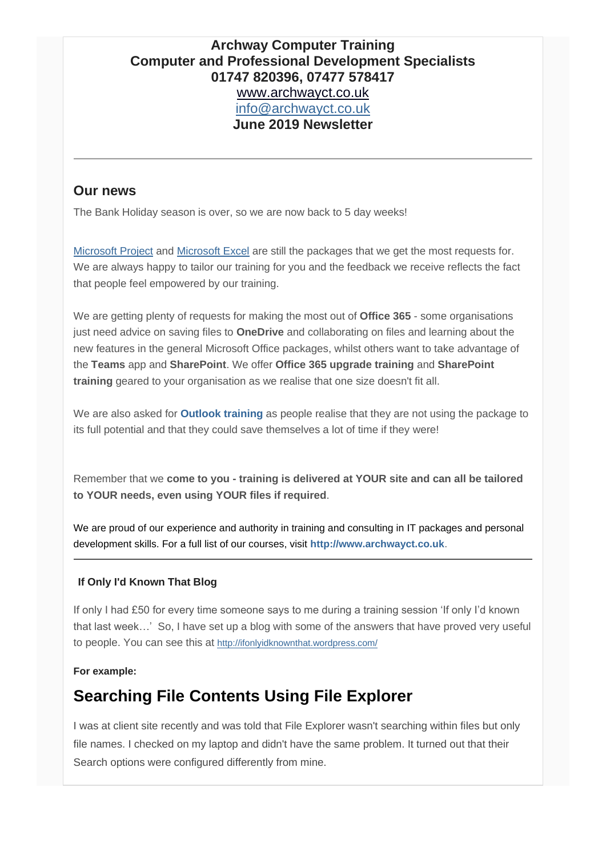## **Archway Computer Training Computer and Professional Development Specialists 01747 820396, 07477 578417** [www.archwayct.co.uk](http://www.archwayct.co.uk/) [info@archwayct.co.uk](mailto:%20info@archwayct.co.uk) **June 2019 Newsletter**

### **Our news**

The Bank Holiday season is over, so we are now back to 5 day weeks!

[Microsoft Project](http://www.archwayct.co.uk/it-training/microsoft-project-training) and [Microsoft Excel](http://www.archwayct.co.uk/microsoft-office-training/microsoft-excel-training) are still the packages that we get the most requests for. We are always happy to tailor our training for you and the feedback we receive reflects the fact that people feel empowered by our training.

We are getting plenty of requests for making the most out of **Office 365** - some organisations just need advice on saving files to **OneDrive** and collaborating on files and learning about the new features in the general Microsoft Office packages, whilst others want to take advantage of the **Teams** app and **SharePoint**. We offer **[Office 365 upgrade training](http://www.archwayct.co.uk/microsoft-office-training/office-365-upgrade-training)** and **[SharePoint](http://archwayct.co.uk/it-training/sharepoint-training)  [training](http://archwayct.co.uk/it-training/sharepoint-training)** geared to your organisation as we realise that one size doesn't fit all.

We are also asked for **[Outlook training](http://www.archwayct.co.uk/microsoft-office-training/microsoft-outlook-training)** as people realise that they are not using the package to its full potential and that they could save themselves a lot of time if they were!

Remember that we **come to you - training is delivered at YOUR site and can all be tailored to YOUR needs, even using YOUR files if required**.

We are proud of our experience and authority in training and consulting in IT packages and personal development skills. For a full list of our courses, visit **[http://www.archwayct.co.uk](http://www.archwayct.co.uk/)**.

#### **If Only I'd Known That Blog**

If only I had £50 for every time someone says to me during a training session 'If only I'd known that last week…' So, I have set up a blog with some of the answers that have proved very useful to people. You can see this at <http://ifonlyidknownthat.wordpress.com/>

#### **For example:**

## **Searching File Contents Using File Explorer**

I was at client site recently and was told that File Explorer wasn't searching within files but only file names. I checked on my laptop and didn't have the same problem. It turned out that their Search options were configured differently from mine.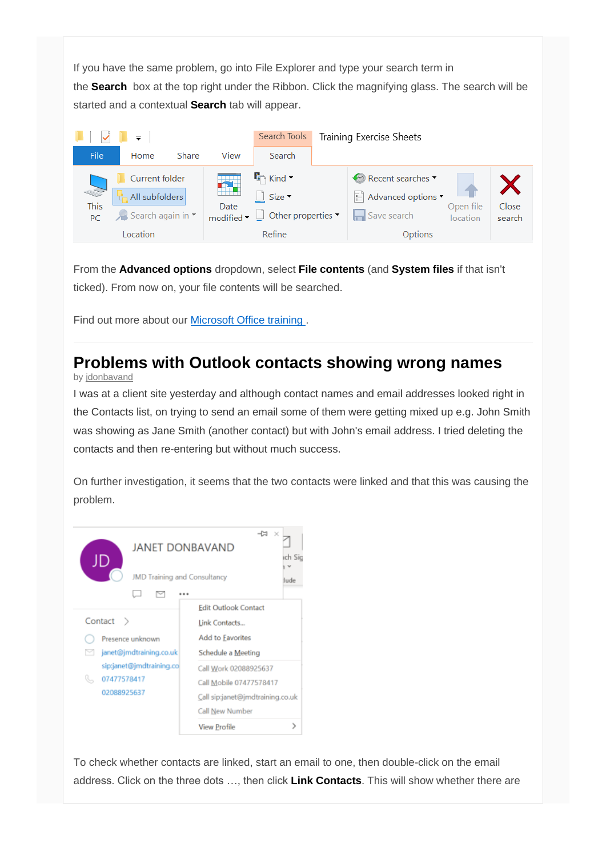If you have the same problem, go into File Explorer and type your search term in the **Search** box at the top right under the Ribbon. Click the magnifying glass. The search will be started and a contextual **Search** tab will appear.



From the **Advanced options** dropdown, select **File contents** (and **System files** if that isn't ticked). From now on, your file contents will be searched.

Find out more about our [Microsoft Office training .](http://www.archwaycrtco.uk/microsoft-office-training)

# **Problems with Outlook contacts showing wrong names**

by [jdonbavand](https://ifonlyidknownthat.wordpress.com/author/jdonbavand/)

I was at a client site yesterday and although contact names and email addresses looked right in the Contacts list, on trying to send an email some of them were getting mixed up e.g. John Smith was showing as Jane Smith (another contact) but with John's email address. I tried deleting the contacts and then re-entering but without much success.

On further investigation, it seems that the two contacts were linked and that this was causing the problem.



To check whether contacts are linked, start an email to one, then double-click on the email address. Click on the three dots …, then click **Link Contacts**. This will show whether there are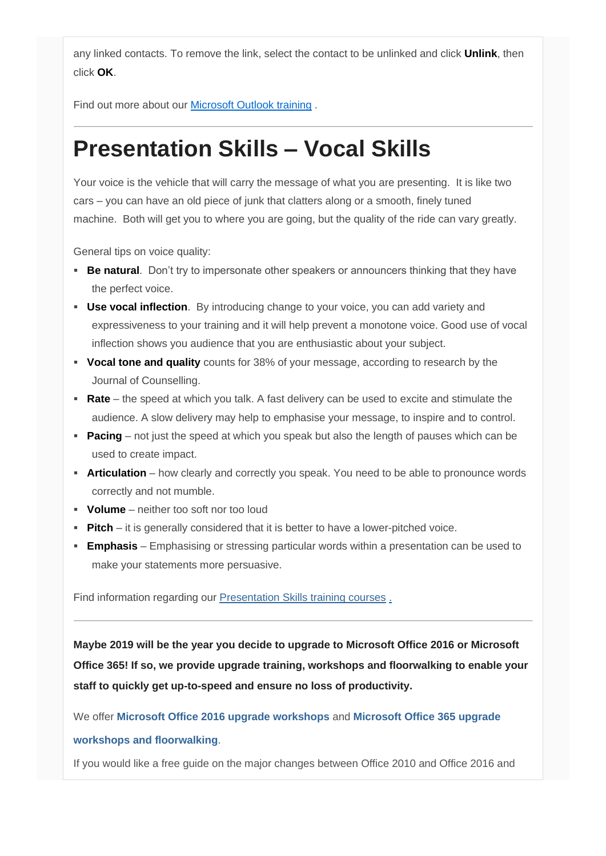any linked contacts. To remove the link, select the contact to be unlinked and click **Unlink**, then click **OK**.

Find out more about our [Microsoft Outlook training](http://www.archwayct.co.uk/microsoft-office-training/microsoft-outlook-training) .

# **Presentation Skills – Vocal Skills**

Your voice is the vehicle that will carry the message of what you are presenting. It is like two cars – you can have an old piece of junk that clatters along or a smooth, finely tuned machine. Both will get you to where you are going, but the quality of the ride can vary greatly.

General tips on voice quality:

- **Be natural**. Don't try to impersonate other speakers or announcers thinking that they have the perfect voice.
- **Use vocal inflection**. By introducing change to your voice, you can add variety and expressiveness to your training and it will help prevent a monotone voice. Good use of vocal inflection shows you audience that you are enthusiastic about your subject.
- **Vocal tone and quality** counts for 38% of your message, according to research by the Journal of Counselling.
- **Rate** the speed at which you talk. A fast delivery can be used to excite and stimulate the audience. A slow delivery may help to emphasise your message, to inspire and to control.
- **Pacing** not just the speed at which you speak but also the length of pauses which can be used to create impact.
- **EXTE:** Articulation how clearly and correctly you speak. You need to be able to pronounce words correctly and not mumble.
- **Volume** neither too soft nor too loud
- **Pitch** it is generally considered that it is better to have a lower-pitched voice.
- **Emphasis** Emphasising or stressing particular words within a presentation can be used to make your statements more persuasive.

Find information regarding our [Presentation Skills training courses](http://www.archwayct.co.uk/professional-development-training/presentation-skills-training)[.](http://www.jmdtraining.co.uk/personal-development-training/presentation-skills-training)

**Maybe 2019 will be the year you decide to upgrade to Microsoft Office 2016 or Microsoft Office 365! If so, we provide upgrade training, workshops and floorwalking to enable your staff to quickly get up-to-speed and ensure no loss of productivity.**

We offer **[Microsoft Office 2016 upgrade workshops](http://www.archwayct.co.uk/microsoft-office-training/office-2016-upgrade-training/)** and **[Microsoft Office 365 upgrade](http://www.archwayct.co.uk/microsoft-office-training/office-365-upgrade-training/)  [workshops and floorwalking](http://www.archwayct.co.uk/microsoft-office-training/office-365-upgrade-training/)**.

If you would like a free guide on the major changes between Office 2010 and Office 2016 and